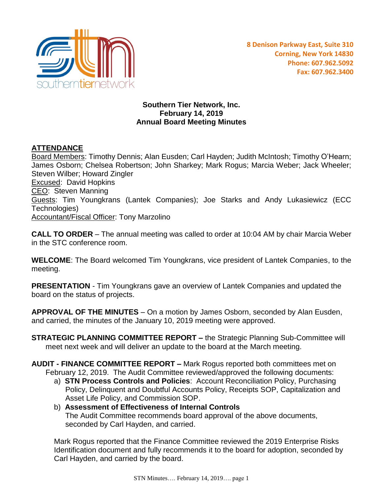

## **Southern Tier Network, Inc. February 14, 2019 Annual Board Meeting Minutes**

## **ATTENDANCE**

Board Members: Timothy Dennis; Alan Eusden; Carl Hayden; Judith McIntosh; Timothy O'Hearn; James Osborn; Chelsea Robertson; John Sharkey; Mark Rogus; Marcia Weber; Jack Wheeler; Steven Wilber; Howard Zingler Excused: David Hopkins CEO: Steven Manning Guests: Tim Youngkrans (Lantek Companies); Joe Starks and Andy Lukasiewicz (ECC Technologies) Accountant/Fiscal Officer: Tony Marzolino

**CALL TO ORDER** – The annual meeting was called to order at 10:04 AM by chair Marcia Weber in the STC conference room.

**WELCOME**: The Board welcomed Tim Youngkrans, vice president of Lantek Companies, to the meeting.

**PRESENTATION** - Tim Youngkrans gave an overview of Lantek Companies and updated the board on the status of projects.

**APPROVAL OF THE MINUTES** – On a motion by James Osborn, seconded by Alan Eusden, and carried, the minutes of the January 10, 2019 meeting were approved.

**STRATEGIC PLANNING COMMITTEE REPORT – the Strategic Planning Sub-Committee will** meet next week and will deliver an update to the board at the March meeting.

**AUDIT - FINANCE COMMITTEE REPORT –** Mark Rogus reported both committees met on February 12, 2019. The Audit Committee reviewed/approved the following documents:

- a) **STN Process Controls and Policies**: Account Reconciliation Policy, Purchasing Policy, Delinquent and Doubtful Accounts Policy, Receipts SOP, Capitalization and Asset Life Policy, and Commission SOP.
- b) **Assessment of Effectiveness of Internal Controls** The Audit Committee recommends board approval of the above documents, seconded by Carl Hayden, and carried.

Mark Rogus reported that the Finance Committee reviewed the 2019 Enterprise Risks Identification document and fully recommends it to the board for adoption, seconded by Carl Hayden, and carried by the board.